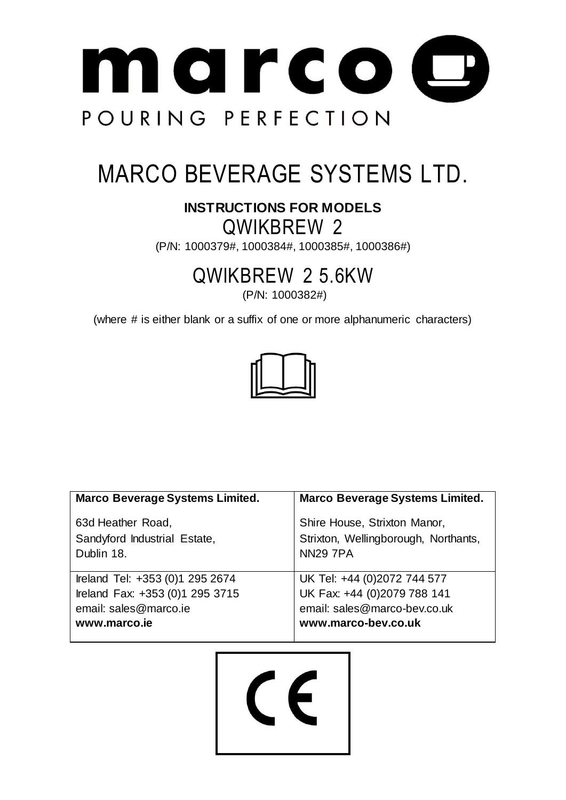

## MARCO BEVERAGE SYSTEMS LTD.

#### **INSTRUCTIONS FOR MODELS** QWIKBREW 2

(P/N: 1000379#, 1000384#, 1000385#, 1000386#)

## QWIKBREW 2 5.6KW

(P/N: 1000382#)

(where # is either blank or a suffix of one or more alphanumeric characters)



| <b>Marco Beverage Systems Limited.</b> | <b>Marco Beverage Systems Limited.</b> |
|----------------------------------------|----------------------------------------|
| 63d Heather Road,                      | Shire House, Strixton Manor,           |
| Sandyford Industrial Estate,           | Strixton, Wellingborough, Northants,   |
| Dublin 18.                             | <b>NN29 7PA</b>                        |
| Ireland Tel: +353 (0)1 295 2674        | UK Tel: +44 (0)2072 744 577            |
| Ireland Fax: +353 (0)1 295 3715        | UK Fax: +44 (0)2079 788 141            |
| email: sales@marco.ie                  | email: sales@marco-bev.co.uk           |
| www.marco.ie                           | www.marco-bev.co.uk                    |

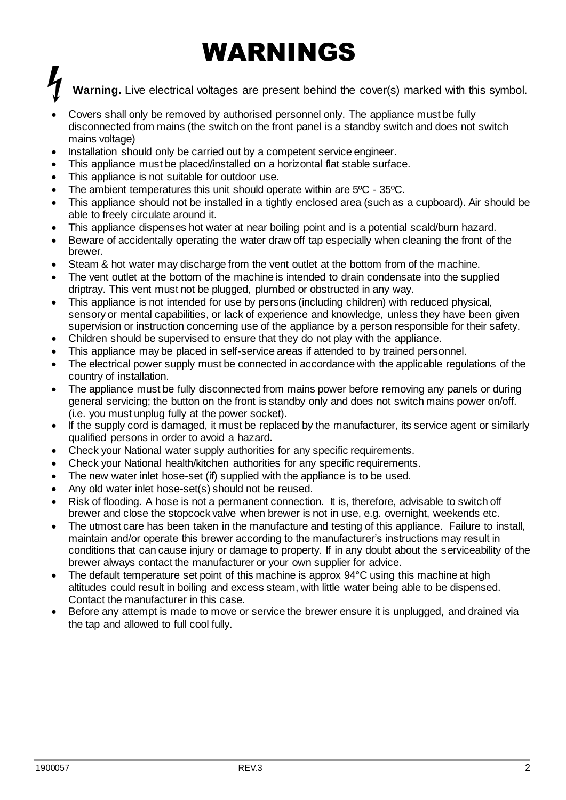# WARNINGS

#### **Warning.** Live electrical voltages are present behind the cover(s) marked with this symbol.

- Covers shall only be removed by authorised personnel only. The appliance must be fully disconnected from mains (the switch on the front panel is a standby switch and does not switch mains voltage)
- Installation should only be carried out by a competent service engineer.
- This appliance must be placed/installed on a horizontal flat stable surface.
- This appliance is not suitable for outdoor use.
- The ambient temperatures this unit should operate within are 5ºC 35ºC.
- This appliance should not be installed in a tightly enclosed area (such as a cupboard). Air should be able to freely circulate around it.
- This appliance dispenses hot water at near boiling point and is a potential scald/burn hazard.
- Beware of accidentally operating the water draw off tap especially when cleaning the front of the brewer.
- Steam & hot water may discharge from the vent outlet at the bottom from of the machine.
- The vent outlet at the bottom of the machine is intended to drain condensate into the supplied driptray. This vent must not be plugged, plumbed or obstructed in any way.
- This appliance is not intended for use by persons (including children) with reduced physical, sensory or mental capabilities, or lack of experience and knowledge, unless they have been given supervision or instruction concerning use of the appliance by a person responsible for their safety.
- Children should be supervised to ensure that they do not play with the appliance.
- This appliance may be placed in self-service areas if attended to by trained personnel.
- The electrical power supply must be connected in accordance with the applicable regulations of the country of installation.
- The appliance must be fully disconnected from mains power before removing any panels or during general servicing; the button on the front is standby only and does not switch mains power on/off. (i.e. you must unplug fully at the power socket).
- If the supply cord is damaged, it must be replaced by the manufacturer, its service agent or similarly qualified persons in order to avoid a hazard.
- Check your National water supply authorities for any specific requirements.
- Check your National health/kitchen authorities for any specific requirements.
- The new water inlet hose-set (if) supplied with the appliance is to be used.
- Any old water inlet hose-set(s) should not be reused.
- Risk of flooding. A hose is not a permanent connection. It is, therefore, advisable to switch off brewer and close the stopcock valve when brewer is not in use, e.g. overnight, weekends etc.
- The utmost care has been taken in the manufacture and testing of this appliance. Failure to install, maintain and/or operate this brewer according to the manufacturer's instructions may result in conditions that can cause injury or damage to property. If in any doubt about the serviceability of the brewer always contact the manufacturer or your own supplier for advice.
- The default temperature set point of this machine is approx 94°C using this machine at high altitudes could result in boiling and excess steam, with little water being able to be dispensed. Contact the manufacturer in this case.
- Before any attempt is made to move or service the brewer ensure it is unplugged, and drained via the tap and allowed to full cool fully.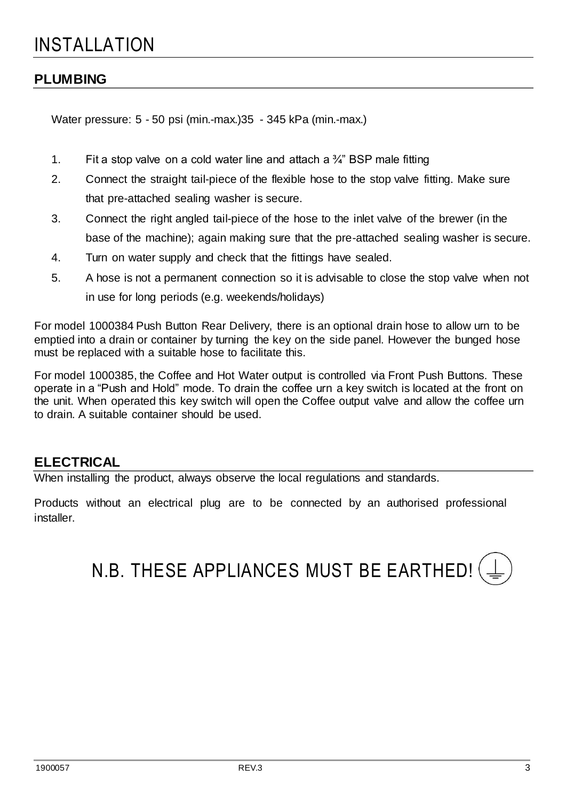### INSTALLATION

#### **PLUMBING**

Water pressure: 5 - 50 psi (min.-max.)35 - 345 kPa (min.-max.)

- 1. Fit a stop valve on a cold water line and attach a  $\frac{3}{4}$ " BSP male fitting
- 2. Connect the straight tail-piece of the flexible hose to the stop valve fitting. Make sure that pre-attached sealing washer is secure.
- 3. Connect the right angled tail-piece of the hose to the inlet valve of the brewer (in the base of the machine); again making sure that the pre-attached sealing washer is secure.
- 4. Turn on water supply and check that the fittings have sealed.
- 5. A hose is not a permanent connection so it is advisable to close the stop valve when not in use for long periods (e.g. weekends/holidays)

For model 1000384 Push Button Rear Delivery, there is an optional drain hose to allow urn to be emptied into a drain or container by turning the key on the side panel. However the bunged hose must be replaced with a suitable hose to facilitate this.

For model 1000385, the Coffee and Hot Water output is controlled via Front Push Buttons. These operate in a "Push and Hold" mode. To drain the coffee urn a key switch is located at the front on the unit. When operated this key switch will open the Coffee output valve and allow the coffee urn to drain. A suitable container should be used.

#### **ELECTRICAL**

When installing the product, always observe the local regulations and standards.

Products without an electrical plug are to be connected by an authorised professional installer.

N.B. THESE APPLIANCES MUST BE EARTHED!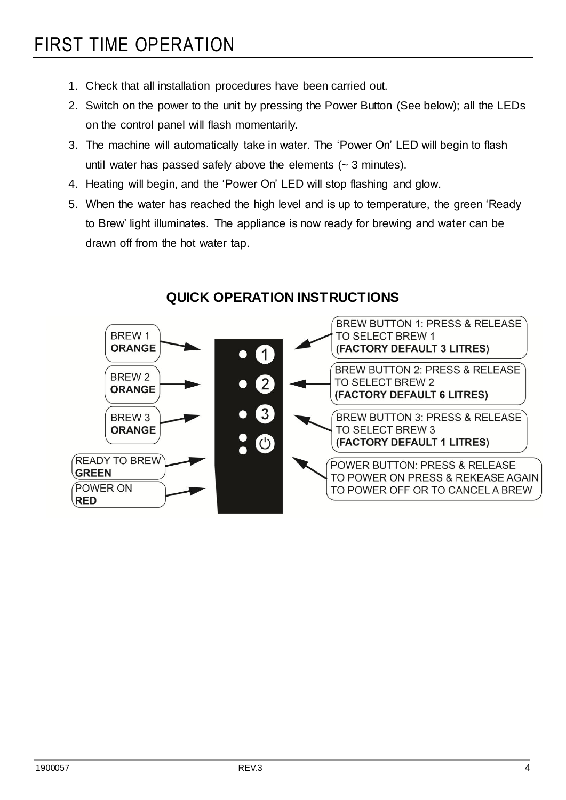- 1. Check that all installation procedures have been carried out.
- 2. Switch on the power to the unit by pressing the Power Button (See below); all the LEDs on the control panel will flash momentarily.
- 3. The machine will automatically take in water. The 'Power On' LED will begin to flash until water has passed safely above the elements  $($   $\sim$  3 minutes).
- 4. Heating will begin, and the 'Power On' LED will stop flashing and glow.
- 5. When the water has reached the high level and is up to temperature, the green 'Ready to Brew' light illuminates. The appliance is now ready for brewing and water can be drawn off from the hot water tap.



#### **QUICK OPERATION INSTRUCTIONS**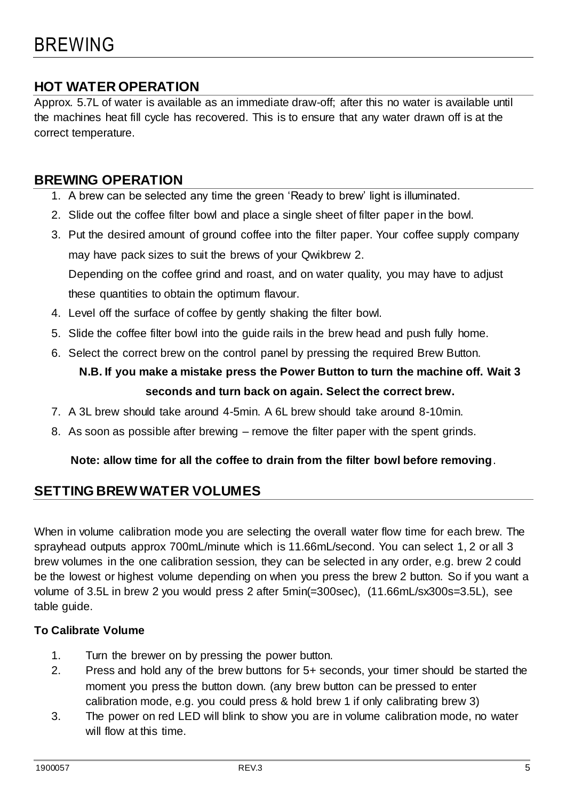#### **HOT WATER OPERATION**

Approx. 5.7L of water is available as an immediate draw-off; after this no water is available until the machines heat fill cycle has recovered. This is to ensure that any water drawn off is at the correct temperature.

#### **BREWING OPERATION**

- 1. A brew can be selected any time the green 'Ready to brew' light is illuminated.
- 2. Slide out the coffee filter bowl and place a single sheet of filter paper in the bowl.
- 3. Put the desired amount of ground coffee into the filter paper. Your coffee supply company may have pack sizes to suit the brews of your Qwikbrew 2.

Depending on the coffee grind and roast, and on water quality, you may have to adjust these quantities to obtain the optimum flavour.

- 4. Level off the surface of coffee by gently shaking the filter bowl.
- 5. Slide the coffee filter bowl into the guide rails in the brew head and push fully home.
- 6. Select the correct brew on the control panel by pressing the required Brew Button.

#### **N.B. If you make a mistake press the Power Button to turn the machine off. Wait 3 seconds and turn back on again. Select the correct brew.**

- 7. A 3L brew should take around 4-5min. A 6L brew should take around 8-10min.
- 8. As soon as possible after brewing remove the filter paper with the spent grinds.

#### **Note: allow time for all the coffee to drain from the filter bowl before removing**.

#### **SETTING BREW WATER VOLUMES**

When in volume calibration mode you are selecting the overall water flow time for each brew. The sprayhead outputs approx 700mL/minute which is 11.66mL/second. You can select 1, 2 or all 3 brew volumes in the one calibration session, they can be selected in any order, e.g. brew 2 could be the lowest or highest volume depending on when you press the brew 2 button. So if you want a volume of 3.5L in brew 2 you would press 2 after 5min(=300sec), (11.66mL/sx300s=3.5L), see table guide.

#### **To Calibrate Volume**

- 1. Turn the brewer on by pressing the power button.
- 2. Press and hold any of the brew buttons for 5+ seconds, your timer should be started the moment you press the button down. (any brew button can be pressed to enter calibration mode, e.g. you could press & hold brew 1 if only calibrating brew 3)
- 3. The power on red LED will blink to show you are in volume calibration mode, no water will flow at this time.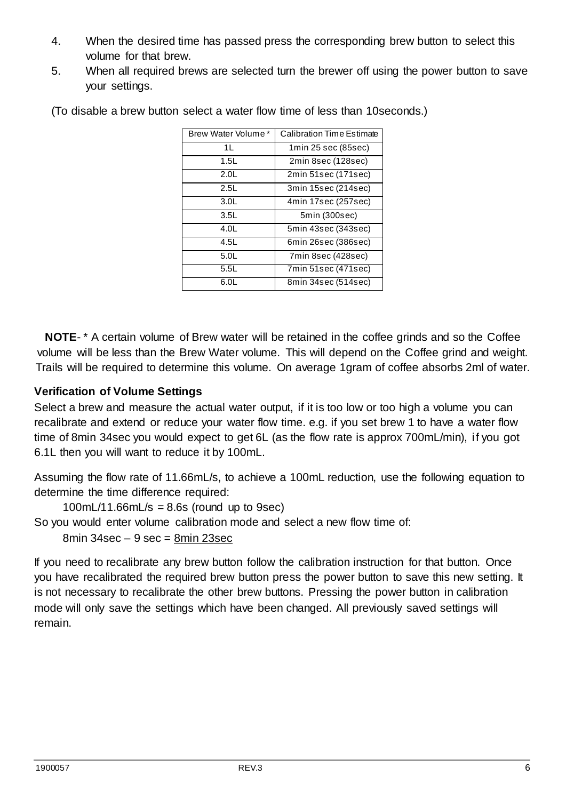- 4. When the desired time has passed press the corresponding brew button to select this volume for that brew.
- 5. When all required brews are selected turn the brewer off using the power button to save your settings.

| Brew Water Volume* | <b>Calibration Time Estimate</b> |
|--------------------|----------------------------------|
| 1L                 | 1min 25 sec (85sec)              |
| 1.5L               | 2min 8sec (128sec)               |
| 2.0 <sub>L</sub>   | 2min 51sec (171sec)              |
| 2.5L               | 3min 15sec (214sec)              |
| 3.0 <sub>L</sub>   | 4min 17sec (257sec)              |
| 3.5L               | 5min (300sec)                    |
| 4.0 <sub>L</sub>   | 5min 43sec (343sec)              |
| 4.5L               | 6min 26sec (386sec)              |
| 5.0 <sub>L</sub>   | 7min 8sec (428sec)               |
| 5.5L               | 7min 51sec (471sec)              |
| 6.0L               | 8min 34sec (514sec)              |

(To disable a brew button select a water flow time of less than 10seconds.)

**NOTE**- \* A certain volume of Brew water will be retained in the coffee grinds and so the Coffee volume will be less than the Brew Water volume. This will depend on the Coffee grind and weight. Trails will be required to determine this volume. On average 1gram of coffee absorbs 2ml of water.

#### **Verification of Volume Settings**

Select a brew and measure the actual water output, if it is too low or too high a volume you can recalibrate and extend or reduce your water flow time. e.g. if you set brew 1 to have a water flow time of 8min 34sec you would expect to get 6L (as the flow rate is approx 700mL/min), if you got 6.1L then you will want to reduce it by 100mL.

Assuming the flow rate of 11.66mL/s, to achieve a 100mL reduction, use the following equation to determine the time difference required:

 $100mL/11.66mL/s = 8.6s$  (round up to 9sec)

So you would enter volume calibration mode and select a new flow time of:

8min 34sec – 9 sec = 8min 23sec

If you need to recalibrate any brew button follow the calibration instruction for that button. Once you have recalibrated the required brew button press the power button to save this new setting. It is not necessary to recalibrate the other brew buttons. Pressing the power button in calibration mode will only save the settings which have been changed. All previously saved settings will remain.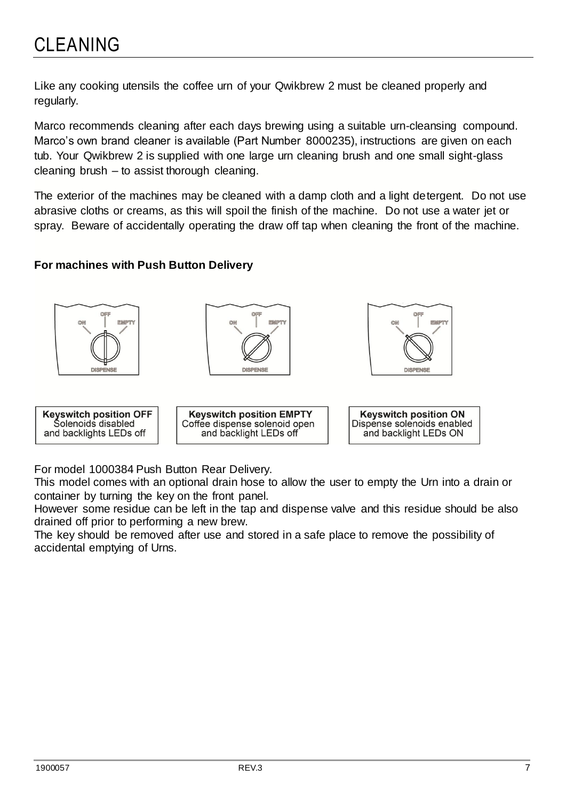## CLEANING

Like any cooking utensils the coffee urn of your Qwikbrew 2 must be cleaned properly and regularly.

Marco recommends cleaning after each days brewing using a suitable urn-cleansing compound. Marco's own brand cleaner is available (Part Number 8000235), instructions are given on each tub. Your Qwikbrew 2 is supplied with one large urn cleaning brush and one small sight-glass cleaning brush – to assist thorough cleaning.

The exterior of the machines may be cleaned with a damp cloth and a light detergent. Do not use abrasive cloths or creams, as this will spoil the finish of the machine. Do not use a water jet or spray. Beware of accidentally operating the draw off tap when cleaning the front of the machine.

#### **For machines with Push Button Delivery**







**Keyswitch position OFF** Solenoids disabled and backlights LEDs off

| <b>Keyswitch position EMPTY</b><br>Coffee dispense solenoid open |  |
|------------------------------------------------------------------|--|
| and backlight LEDs off                                           |  |

| <b>Keyswitch position ON</b> |  |
|------------------------------|--|
| Dispense solenoids enabled   |  |
| and backlight LEDs ON        |  |

For model 1000384 Push Button Rear Delivery.

This model comes with an optional drain hose to allow the user to empty the Urn into a drain or container by turning the key on the front panel.

However some residue can be left in the tap and dispense valve and this residue should be also drained off prior to performing a new brew.

The key should be removed after use and stored in a safe place to remove the possibility of accidental emptying of Urns.